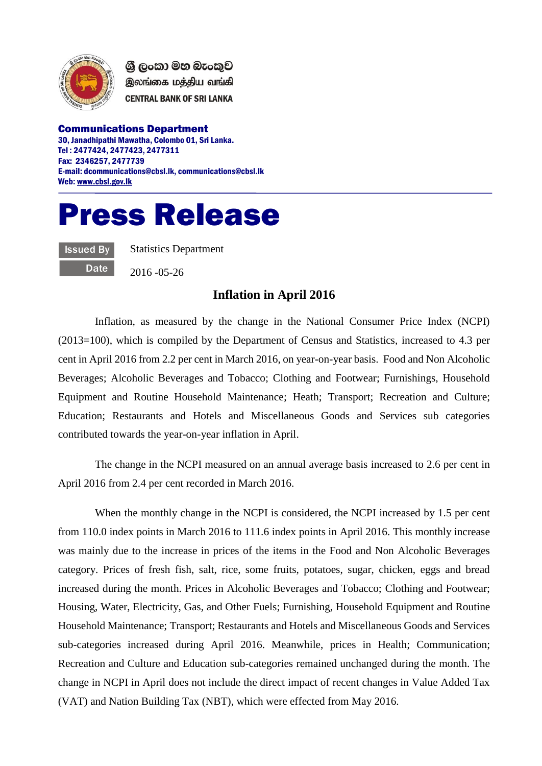

ශී ලංකා මහ බැංකුව இலங்கை மத்திய வங்கி **CENTRAL BANK OF SRI LANKA** 

Communications Department 30, Janadhipathi Mawatha, Colombo 01, Sri Lanka. Tel : 2477424, 2477423, 2477311 Fax: 2346257, 2477739 E-mail: dcommunications@cbsl.lk, communications@cbsl.lk Web[: www.cbsl.gov.lk](http://www.cbsl.gov.lk/)

## Press Release

Issued By **Date**  Statistics Department

2016 -05-26

## **Inflation in April 2016**

Inflation, as measured by the change in the National Consumer Price Index (NCPI) (2013=100), which is compiled by the Department of Census and Statistics, increased to 4.3 per cent in April 2016 from 2.2 per cent in March 2016, on year-on-year basis. Food and Non Alcoholic Beverages; Alcoholic Beverages and Tobacco; Clothing and Footwear; Furnishings, Household Equipment and Routine Household Maintenance; Heath; Transport; Recreation and Culture; Education; Restaurants and Hotels and Miscellaneous Goods and Services sub categories contributed towards the year-on-year inflation in April.

The change in the NCPI measured on an annual average basis increased to 2.6 per cent in April 2016 from 2.4 per cent recorded in March 2016.

When the monthly change in the NCPI is considered, the NCPI increased by 1.5 per cent from 110.0 index points in March 2016 to 111.6 index points in April 2016. This monthly increase was mainly due to the increase in prices of the items in the Food and Non Alcoholic Beverages category. Prices of fresh fish, salt, rice, some fruits, potatoes, sugar, chicken, eggs and bread increased during the month. Prices in Alcoholic Beverages and Tobacco; Clothing and Footwear; Housing, Water, Electricity, Gas, and Other Fuels; Furnishing, Household Equipment and Routine Household Maintenance; Transport; Restaurants and Hotels and Miscellaneous Goods and Services sub-categories increased during April 2016. Meanwhile, prices in Health; Communication; Recreation and Culture and Education sub-categories remained unchanged during the month. The change in NCPI in April does not include the direct impact of recent changes in Value Added Tax (VAT) and Nation Building Tax (NBT), which were effected from May 2016.